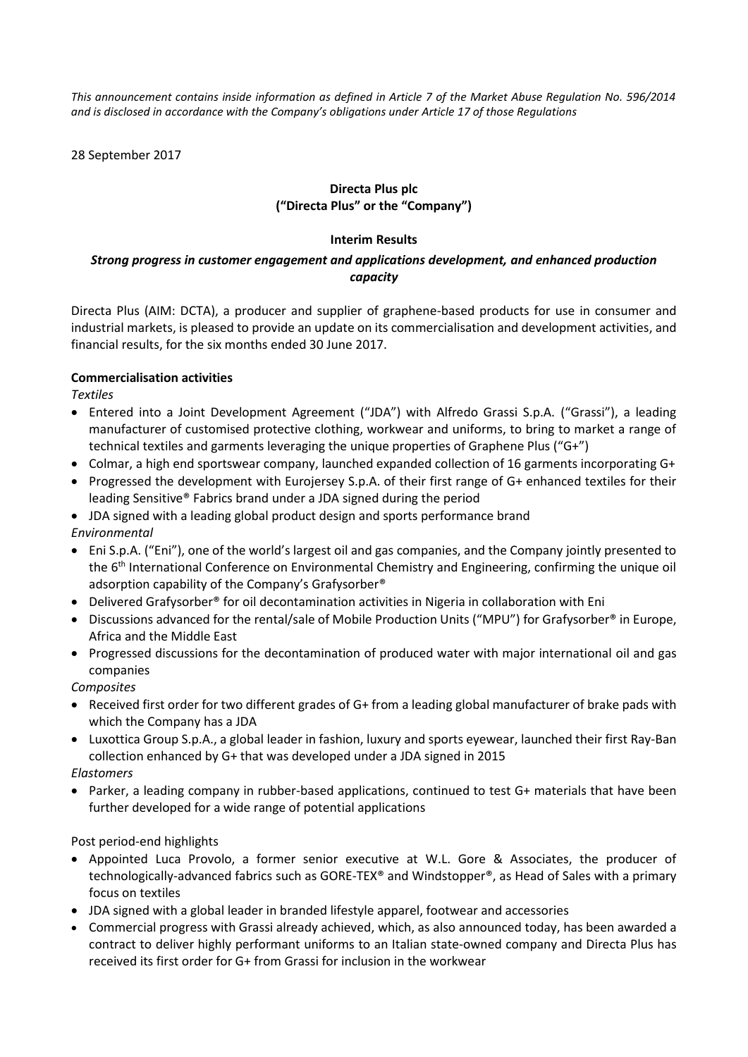*This announcement contains inside information as defined in Article 7 of the Market Abuse Regulation No. 596/2014 and is disclosed in accordance with the Company's obligations under Article 17 of those Regulations*

28 September 2017

# **Directa Plus plc ("Directa Plus" or the "Company")**

## **Interim Results**

# *Strong progress in customer engagement and applications development, and enhanced production capacity*

Directa Plus (AIM: DCTA), a producer and supplier of graphene-based products for use in consumer and industrial markets, is pleased to provide an update on its commercialisation and development activities, and financial results, for the six months ended 30 June 2017.

# **Commercialisation activities**

*Textiles*

- Entered into a Joint Development Agreement ("JDA") with Alfredo Grassi S.p.A. ("Grassi"), a leading manufacturer of customised protective clothing, workwear and uniforms, to bring to market a range of technical textiles and garments leveraging the unique properties of Graphene Plus ("G+")
- Colmar, a high end sportswear company, launched expanded collection of 16 garments incorporating G+
- Progressed the development with Eurojersey S.p.A. of their first range of G+ enhanced textiles for their leading Sensitive® Fabrics brand under a JDA signed during the period
- JDA signed with a leading global product design and sports performance brand

*Environmental*

- Eni S.p.A. ("Eni"), one of the world's largest oil and gas companies, and the Company jointly presented to the 6<sup>th</sup> International Conference on Environmental Chemistry and Engineering, confirming the unique oil adsorption capability of the Company's Grafysorber®
- Delivered Grafysorber® for oil decontamination activities in Nigeria in collaboration with Eni
- Discussions advanced for the rental/sale of Mobile Production Units ("MPU") for Grafysorber® in Europe, Africa and the Middle East
- Progressed discussions for the decontamination of produced water with major international oil and gas companies

*Composites*

- Received first order for two different grades of G+ from a leading global manufacturer of brake pads with which the Company has a JDA
- Luxottica Group S.p.A., a global leader in fashion, luxury and sports eyewear, launched their first Ray-Ban collection enhanced by G+ that was developed under a JDA signed in 2015

*Elastomers*

• Parker, a leading company in rubber-based applications, continued to test G+ materials that have been further developed for a wide range of potential applications

Post period-end highlights

- Appointed Luca Provolo, a former senior executive at W.L. Gore & Associates, the producer of technologically-advanced fabrics such as GORE-TEX® and Windstopper®, as Head of Sales with a primary focus on textiles
- JDA signed with a global leader in branded lifestyle apparel, footwear and accessories
- Commercial progress with Grassi already achieved, which, as also announced today, has been awarded a contract to deliver highly performant uniforms to an Italian state-owned company and Directa Plus has received its first order for G+ from Grassi for inclusion in the workwear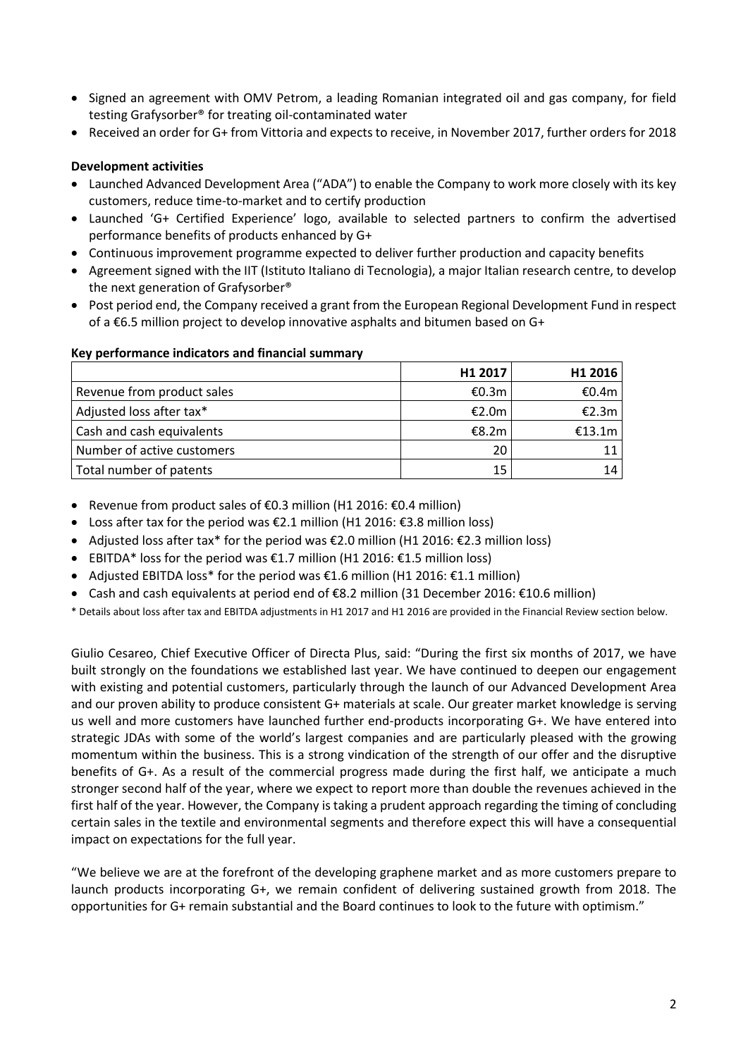- Signed an agreement with OMV Petrom, a leading Romanian integrated oil and gas company, for field testing Grafysorber® for treating oil-contaminated water
- Received an order for G+ from Vittoria and expects to receive, in November 2017, further orders for 2018

## **Development activities**

- Launched Advanced Development Area ("ADA") to enable the Company to work more closely with its key customers, reduce time-to-market and to certify production
- Launched 'G+ Certified Experience' logo, available to selected partners to confirm the advertised performance benefits of products enhanced by G+
- Continuous improvement programme expected to deliver further production and capacity benefits
- Agreement signed with the IIT (Istituto Italiano di Tecnologia), a major Italian research centre, to develop the next generation of Grafysorber®
- Post period end, the Company received a grant from the European Regional Development Fund in respect of a €6.5 million project to develop innovative asphalts and bitumen based on G+

#### **Key performance indicators and financial summary**

|                            | H1 2017 | H <sub>1</sub> 2016 |
|----------------------------|---------|---------------------|
| Revenue from product sales | €0.3m   | €0.4m               |
| Adjusted loss after tax*   | €2.0m   | €2.3m               |
| Cash and cash equivalents  | €8.2m   | €13.1m $\vert$      |
| Number of active customers | 20      |                     |
| Total number of patents    | 15      | 14                  |

- Revenue from product sales of €0.3 million (H1 2016: €0.4 million)
- Loss after tax for the period was €2.1 million (H1 2016: €3.8 million loss)
- Adjusted loss after tax\* for the period was €2.0 million (H1 2016: €2.3 million loss)
- EBITDA\* loss for the period was  $£1.7$  million (H1 2016:  $£1.5$  million loss)
- Adjusted EBITDA loss\* for the period was €1.6 million (H1 2016: €1.1 million)
- Cash and cash equivalents at period end of €8.2 million (31 December 2016: €10.6 million)

\* Details about loss after tax and EBITDA adjustments in H1 2017 and H1 2016 are provided in the Financial Review section below.

Giulio Cesareo, Chief Executive Officer of Directa Plus, said: "During the first six months of 2017, we have built strongly on the foundations we established last year. We have continued to deepen our engagement with existing and potential customers, particularly through the launch of our Advanced Development Area and our proven ability to produce consistent G+ materials at scale. Our greater market knowledge is serving us well and more customers have launched further end-products incorporating G+. We have entered into strategic JDAs with some of the world's largest companies and are particularly pleased with the growing momentum within the business. This is a strong vindication of the strength of our offer and the disruptive benefits of G+. As a result of the commercial progress made during the first half, we anticipate a much stronger second half of the year, where we expect to report more than double the revenues achieved in the first half of the year. However, the Company is taking a prudent approach regarding the timing of concluding certain sales in the textile and environmental segments and therefore expect this will have a consequential impact on expectations for the full year.

"We believe we are at the forefront of the developing graphene market and as more customers prepare to launch products incorporating G+, we remain confident of delivering sustained growth from 2018. The opportunities for G+ remain substantial and the Board continues to look to the future with optimism."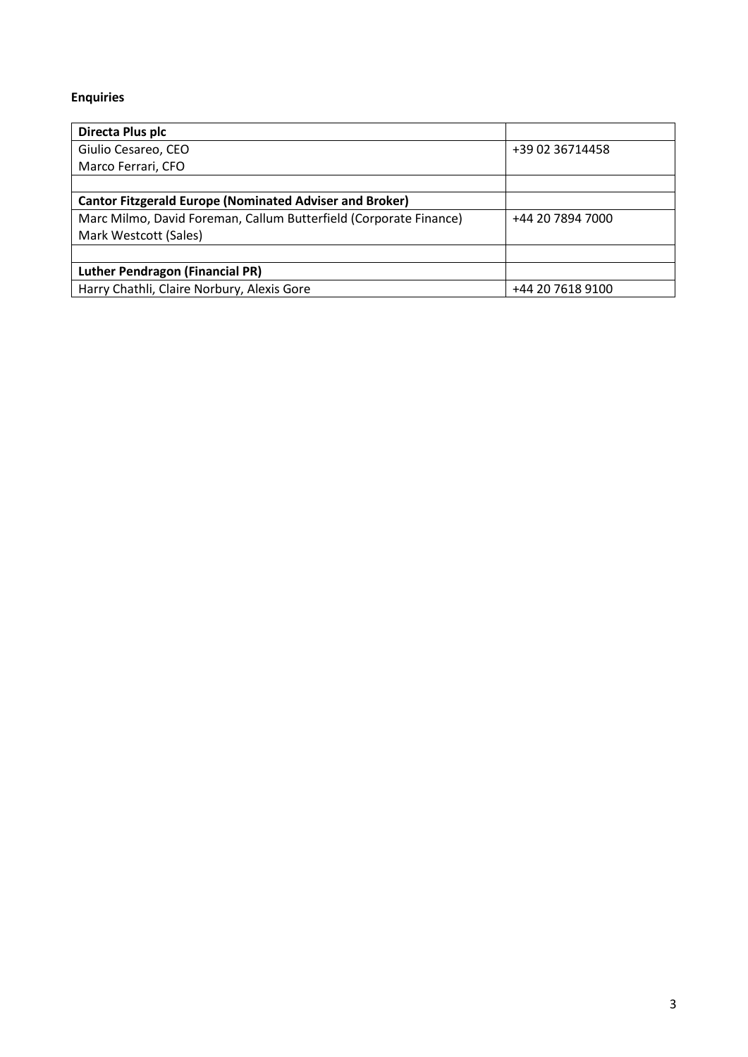# **Enquiries**

| Directa Plus plc                                                  |                  |
|-------------------------------------------------------------------|------------------|
| Giulio Cesareo, CEO                                               | +39 02 36714458  |
| Marco Ferrari, CFO                                                |                  |
|                                                                   |                  |
| <b>Cantor Fitzgerald Europe (Nominated Adviser and Broker)</b>    |                  |
| Marc Milmo, David Foreman, Callum Butterfield (Corporate Finance) | +44 20 7894 7000 |
| Mark Westcott (Sales)                                             |                  |
|                                                                   |                  |
| <b>Luther Pendragon (Financial PR)</b>                            |                  |
| Harry Chathli, Claire Norbury, Alexis Gore                        | +44 20 7618 9100 |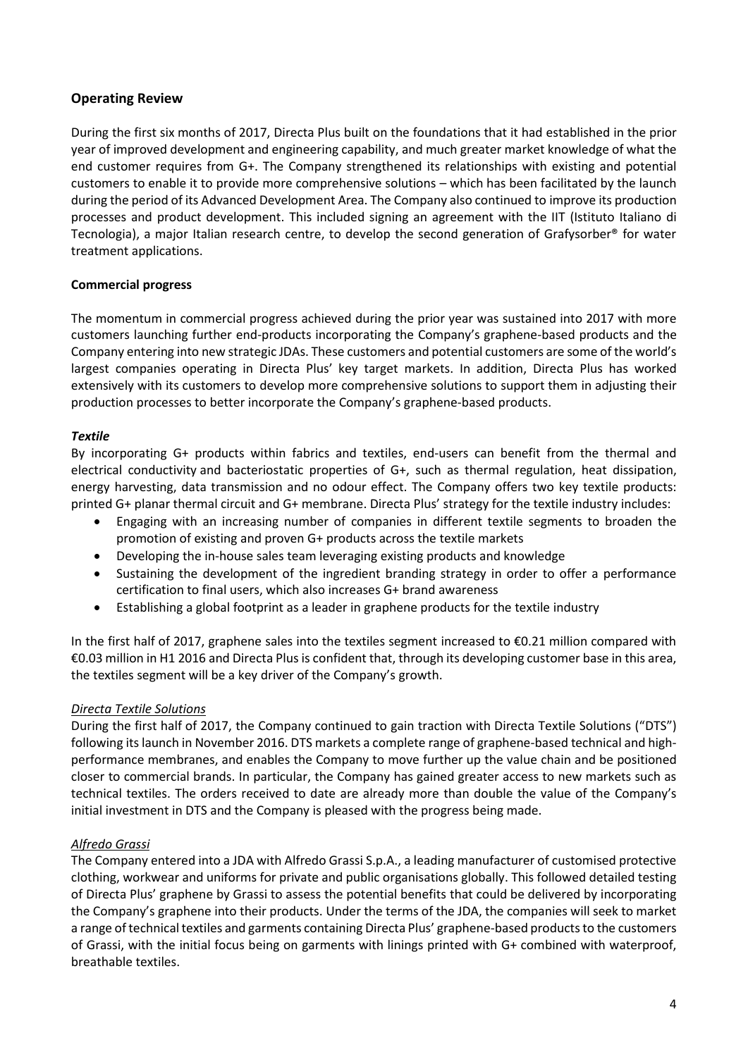# **Operating Review**

During the first six months of 2017, Directa Plus built on the foundations that it had established in the prior year of improved development and engineering capability, and much greater market knowledge of what the end customer requires from G+. The Company strengthened its relationships with existing and potential customers to enable it to provide more comprehensive solutions – which has been facilitated by the launch during the period of its Advanced Development Area. The Company also continued to improve its production processes and product development. This included signing an agreement with the IIT (Istituto Italiano di Tecnologia), a major Italian research centre, to develop the second generation of Grafysorber® for water treatment applications.

# **Commercial progress**

The momentum in commercial progress achieved during the prior year was sustained into 2017 with more customers launching further end-products incorporating the Company's graphene-based products and the Company entering into new strategic JDAs. These customers and potential customers are some of the world's largest companies operating in Directa Plus' key target markets. In addition, Directa Plus has worked extensively with its customers to develop more comprehensive solutions to support them in adjusting their production processes to better incorporate the Company's graphene-based products.

# *Textile*

By incorporating G+ products within fabrics and textiles, end-users can benefit from the thermal and electrical conductivity and bacteriostatic properties of G+, such as thermal regulation, heat dissipation, energy harvesting, data transmission and no odour effect. The Company offers two key textile products: printed G+ planar thermal circuit and G+ membrane. Directa Plus' strategy for the textile industry includes:

- Engaging with an increasing number of companies in different textile segments to broaden the promotion of existing and proven G+ products across the textile markets
- Developing the in-house sales team leveraging existing products and knowledge
- Sustaining the development of the ingredient branding strategy in order to offer a performance certification to final users, which also increases G+ brand awareness
- Establishing a global footprint as a leader in graphene products for the textile industry

In the first half of 2017, graphene sales into the textiles segment increased to €0.21 million compared with €0.03 million in H1 2016 and Directa Plus is confident that, through its developing customer base in this area, the textiles segment will be a key driver of the Company's growth.

# *Directa Textile Solutions*

During the first half of 2017, the Company continued to gain traction with Directa Textile Solutions ("DTS") following its launch in November 2016. DTS markets a complete range of graphene-based technical and highperformance membranes, and enables the Company to move further up the value chain and be positioned closer to commercial brands. In particular, the Company has gained greater access to new markets such as technical textiles. The orders received to date are already more than double the value of the Company's initial investment in DTS and the Company is pleased with the progress being made.

# *Alfredo Grassi*

The Company entered into a JDA with Alfredo Grassi S.p.A., a leading manufacturer of customised protective clothing, workwear and uniforms for private and public organisations globally. This followed detailed testing of Directa Plus' graphene by Grassi to assess the potential benefits that could be delivered by incorporating the Company's graphene into their products. Under the terms of the JDA, the companies will seek to market a range of technical textiles and garments containing Directa Plus' graphene-based products to the customers of Grassi, with the initial focus being on garments with linings printed with G+ combined with waterproof, breathable textiles.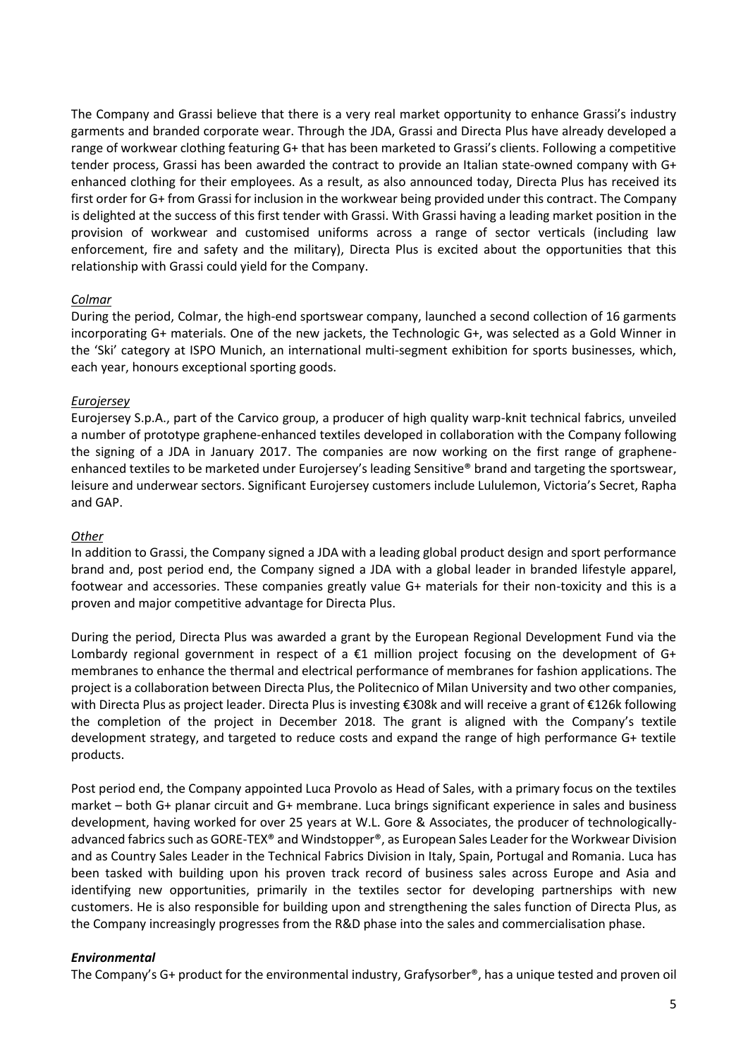The Company and Grassi believe that there is a very real market opportunity to enhance Grassi's industry garments and branded corporate wear. Through the JDA, Grassi and Directa Plus have already developed a range of workwear clothing featuring G+ that has been marketed to Grassi's clients. Following a competitive tender process, Grassi has been awarded the contract to provide an Italian state-owned company with G+ enhanced clothing for their employees. As a result, as also announced today, Directa Plus has received its first order for G+ from Grassi for inclusion in the workwear being provided under this contract. The Company is delighted at the success of this first tender with Grassi. With Grassi having a leading market position in the provision of workwear and customised uniforms across a range of sector verticals (including law enforcement, fire and safety and the military), Directa Plus is excited about the opportunities that this relationship with Grassi could yield for the Company.

## *Colmar*

During the period, Colmar, the high-end sportswear company, launched a second collection of 16 garments incorporating G+ materials. One of the new jackets, the Technologic G+, was selected as a Gold Winner in the 'Ski' category at ISPO Munich, an international multi-segment exhibition for sports businesses, which, each year, honours exceptional sporting goods.

#### *Eurojersey*

Eurojersey S.p.A., part of the Carvico group, a producer of high quality warp-knit technical fabrics, unveiled a number of prototype graphene-enhanced textiles developed in collaboration with the Company following the signing of a JDA in January 2017. The companies are now working on the first range of grapheneenhanced textiles to be marketed under Eurojersey's leading Sensitive® brand and targeting the sportswear, leisure and underwear sectors. Significant Eurojersey customers include Lululemon, Victoria's Secret, Rapha and GAP.

#### *Other*

In addition to Grassi, the Company signed a JDA with a leading global product design and sport performance brand and, post period end, the Company signed a JDA with a global leader in branded lifestyle apparel, footwear and accessories. These companies greatly value G+ materials for their non-toxicity and this is a proven and major competitive advantage for Directa Plus.

During the period, Directa Plus was awarded a grant by the European Regional Development Fund via the Lombardy regional government in respect of a  $\epsilon$ 1 million project focusing on the development of G+ membranes to enhance the thermal and electrical performance of membranes for fashion applications. The project is a collaboration between Directa Plus, the Politecnico of Milan University and two other companies, with Directa Plus as project leader. Directa Plus is investing €308k and will receive a grant of €126k following the completion of the project in December 2018. The grant is aligned with the Company's textile development strategy, and targeted to reduce costs and expand the range of high performance G+ textile products.

Post period end, the Company appointed Luca Provolo as Head of Sales, with a primary focus on the textiles market – both G+ planar circuit and G+ membrane. Luca brings significant experience in sales and business development, having worked for over 25 years at W.L. Gore & Associates, the producer of technologicallyadvanced fabrics such as GORE-TEX® and Windstopper®, as European Sales Leader for the Workwear Division and as Country Sales Leader in the Technical Fabrics Division in Italy, Spain, Portugal and Romania. Luca has been tasked with building upon his proven track record of business sales across Europe and Asia and identifying new opportunities, primarily in the textiles sector for developing partnerships with new customers. He is also responsible for building upon and strengthening the sales function of Directa Plus, as the Company increasingly progresses from the R&D phase into the sales and commercialisation phase.

#### *Environmental*

The Company's G+ product for the environmental industry, Grafysorber®, has a unique tested and proven oil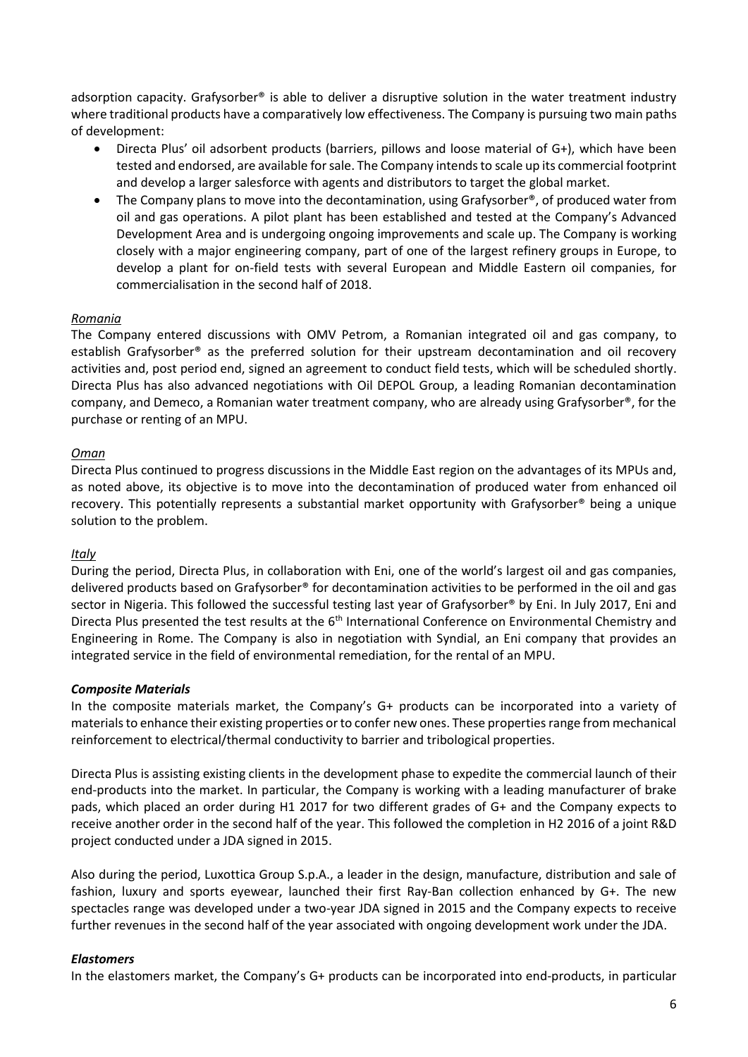adsorption capacity. Grafysorber® is able to deliver a disruptive solution in the water treatment industry where traditional products have a comparatively low effectiveness. The Company is pursuing two main paths of development:

- Directa Plus' oil adsorbent products (barriers, pillows and loose material of G+), which have been tested and endorsed, are available for sale. The Company intends to scale up its commercial footprint and develop a larger salesforce with agents and distributors to target the global market.
- The Company plans to move into the decontamination, using Grafysorber<sup>®</sup>, of produced water from oil and gas operations. A pilot plant has been established and tested at the Company's Advanced Development Area and is undergoing ongoing improvements and scale up. The Company is working closely with a major engineering company, part of one of the largest refinery groups in Europe, to develop a plant for on-field tests with several European and Middle Eastern oil companies, for commercialisation in the second half of 2018.

## *Romania*

The Company entered discussions with OMV Petrom, a Romanian integrated oil and gas company, to establish Grafysorber® as the preferred solution for their upstream decontamination and oil recovery activities and, post period end, signed an agreement to conduct field tests, which will be scheduled shortly. Directa Plus has also advanced negotiations with Oil DEPOL Group, a leading Romanian decontamination company, and Demeco, a Romanian water treatment company, who are already using Grafysorber®, for the purchase or renting of an MPU.

## *Oman*

Directa Plus continued to progress discussions in the Middle East region on the advantages of its MPUs and, as noted above, its objective is to move into the decontamination of produced water from enhanced oil recovery. This potentially represents a substantial market opportunity with Grafysorber® being a unique solution to the problem.

## *Italy*

During the period, Directa Plus, in collaboration with Eni, one of the world's largest oil and gas companies, delivered products based on Grafysorber® for decontamination activities to be performed in the oil and gas sector in Nigeria. This followed the successful testing last year of Grafysorber® by Eni. In July 2017, Eni and Directa Plus presented the test results at the 6<sup>th</sup> International Conference on Environmental Chemistry and Engineering in Rome. The Company is also in negotiation with Syndial, an Eni company that provides an integrated service in the field of environmental remediation, for the rental of an MPU.

## *Composite Materials*

In the composite materials market, the Company's G+ products can be incorporated into a variety of materials to enhance their existing properties or to confer new ones. These properties range from mechanical reinforcement to electrical/thermal conductivity to barrier and tribological properties.

Directa Plus is assisting existing clients in the development phase to expedite the commercial launch of their end-products into the market. In particular, the Company is working with a leading manufacturer of brake pads, which placed an order during H1 2017 for two different grades of G+ and the Company expects to receive another order in the second half of the year. This followed the completion in H2 2016 of a joint R&D project conducted under a JDA signed in 2015.

Also during the period, Luxottica Group S.p.A., a leader in the design, manufacture, distribution and sale of fashion, luxury and sports eyewear, launched their first Ray-Ban collection enhanced by G+. The new spectacles range was developed under a two-year JDA signed in 2015 and the Company expects to receive further revenues in the second half of the year associated with ongoing development work under the JDA.

## *Elastomers*

In the elastomers market, the Company's G+ products can be incorporated into end-products, in particular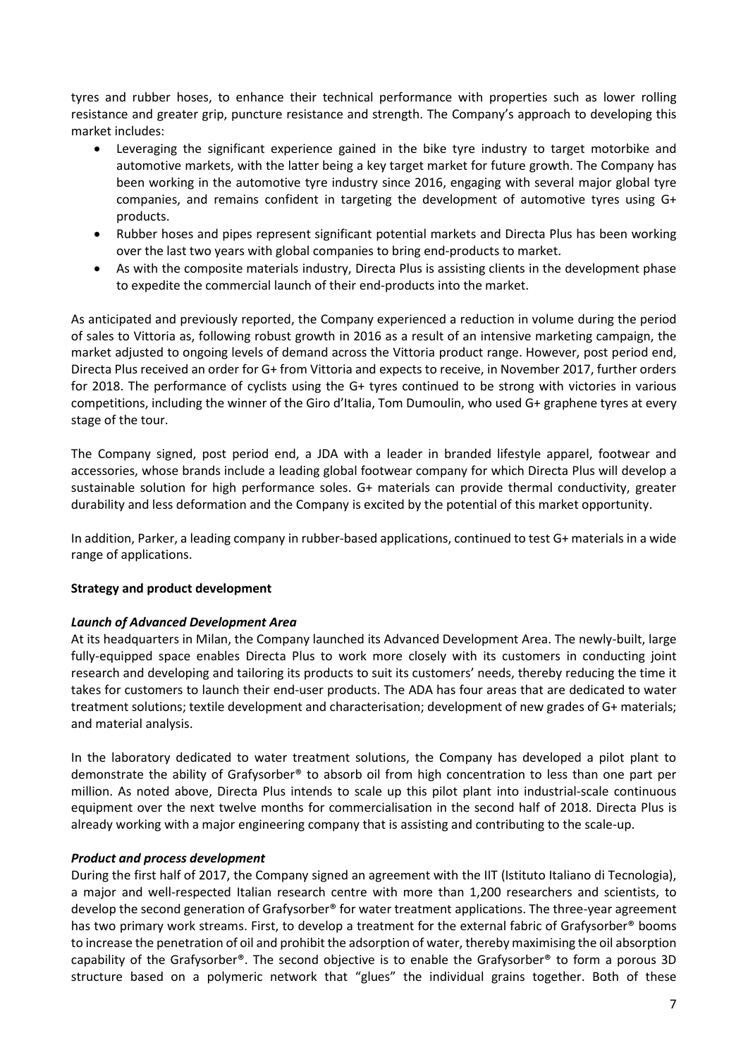tyres and rubber hoses, to enhance their technical performance with properties such as lower rolling resistance and greater grip, puncture resistance and strength. The Company's approach to developing this market includes:

- Leveraging the significant experience gained in the bike tyre industry to target motorbike and automotive markets, with the latter being a key target market for future growth. The Company has been working in the automotive tyre industry since 2016, engaging with several major global tyre companies, and remains confident in targeting the development of automotive tyres using G+ products.
- Rubber hoses and pipes represent significant potential markets and Directa Plus has been working over the last two years with global companies to bring end-products to market.
- As with the composite materials industry, Directa Plus is assisting clients in the development phase to expedite the commercial launch of their end-products into the market.

As anticipated and previously reported, the Company experienced a reduction in volume during the period of sales to Vittoria as, following robust growth in 2016 as a result of an intensive marketing campaign, the market adjusted to ongoing levels of demand across the Vittoria product range. However, post period end, Directa Plus received an order for G+ from Vittoria and expects to receive, in November 2017, further orders for 2018. The performance of cyclists using the G+ tyres continued to be strong with victories in various competitions, including the winner of the Giro d'Italia, Tom Dumoulin, who used G+ graphene tyres at every stage of the tour.

The Company signed, post period end, a JDA with a leader in branded lifestyle apparel, footwear and accessories, whose brands include a leading global footwear company for which Directa Plus will develop a sustainable solution for high performance soles. G+ materials can provide thermal conductivity, greater durability and less deformation and the Company is excited by the potential of this market opportunity.

In addition, Parker, a leading company in rubber-based applications, continued to test G+ materials in a wide range of applications.

# **Strategy and product development**

## *Launch of Advanced Development Area*

At its headquarters in Milan, the Company launched its Advanced Development Area. The newly-built, large fully-equipped space enables Directa Plus to work more closely with its customers in conducting joint research and developing and tailoring its products to suit its customers' needs, thereby reducing the time it takes for customers to launch their end-user products. The ADA has four areas that are dedicated to water treatment solutions; textile development and characterisation; development of new grades of G+ materials; and material analysis.

In the laboratory dedicated to water treatment solutions, the Company has developed a pilot plant to demonstrate the ability of Grafysorber® to absorb oil from high concentration to less than one part per million. As noted above, Directa Plus intends to scale up this pilot plant into industrial-scale continuous equipment over the next twelve months for commercialisation in the second half of 2018. Directa Plus is already working with a major engineering company that is assisting and contributing to the scale-up.

## *Product and process development*

During the first half of 2017, the Company signed an agreement with the IIT (Istituto Italiano di Tecnologia), a major and well-respected Italian research centre with more than 1,200 researchers and scientists, to develop the second generation of Grafysorber® for water treatment applications. The three-year agreement has two primary work streams. First, to develop a treatment for the external fabric of Grafysorber<sup>®</sup> booms to increase the penetration of oil and prohibit the adsorption of water, thereby maximising the oil absorption capability of the Grafysorber®. The second objective is to enable the Grafysorber® to form a porous 3D structure based on a polymeric network that "glues" the individual grains together. Both of these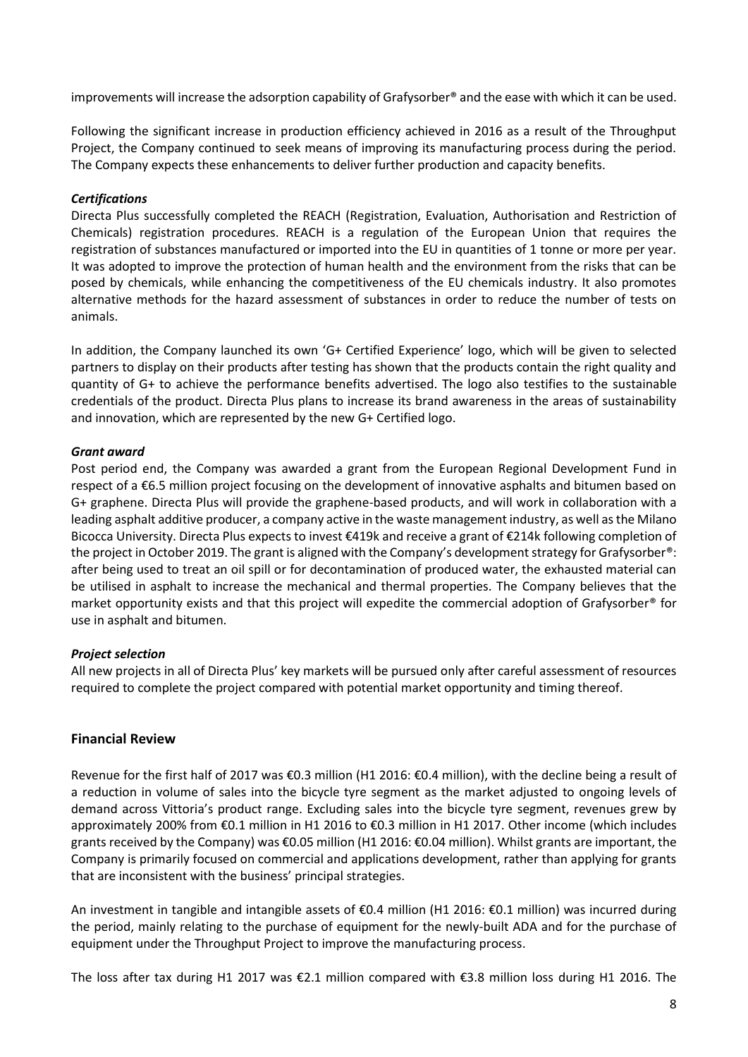improvements will increase the adsorption capability of Grafysorber® and the ease with which it can be used.

Following the significant increase in production efficiency achieved in 2016 as a result of the Throughput Project, the Company continued to seek means of improving its manufacturing process during the period. The Company expects these enhancements to deliver further production and capacity benefits.

## *Certifications*

Directa Plus successfully completed the REACH (Registration, Evaluation, Authorisation and Restriction of Chemicals) registration procedures. REACH is a regulation of the European Union that requires the registration of substances manufactured or imported into the EU in quantities of 1 tonne or more per year. It was adopted to improve the protection of human health and the environment from the risks that can be posed by chemicals, while enhancing the competitiveness of the EU chemicals industry. It also promotes alternative methods for the hazard assessment of substances in order to reduce the number of tests on animals.

In addition, the Company launched its own 'G+ Certified Experience' logo, which will be given to selected partners to display on their products after testing has shown that the products contain the right quality and quantity of G+ to achieve the performance benefits advertised. The logo also testifies to the sustainable credentials of the product. Directa Plus plans to increase its brand awareness in the areas of sustainability and innovation, which are represented by the new G+ Certified logo.

## *Grant award*

Post period end, the Company was awarded a grant from the European Regional Development Fund in respect of a €6.5 million project focusing on the development of innovative asphalts and bitumen based on G+ graphene. Directa Plus will provide the graphene-based products, and will work in collaboration with a leading asphalt additive producer, a company active in the waste management industry, as well as the Milano Bicocca University. Directa Plus expects to invest €419k and receive a grant of €214k following completion of the project in October 2019. The grant is aligned with the Company's development strategy for Grafysorber®: after being used to treat an oil spill or for decontamination of produced water, the exhausted material can be utilised in asphalt to increase the mechanical and thermal properties. The Company believes that the market opportunity exists and that this project will expedite the commercial adoption of Grafysorber® for use in asphalt and bitumen.

## *Project selection*

All new projects in all of Directa Plus' key markets will be pursued only after careful assessment of resources required to complete the project compared with potential market opportunity and timing thereof.

# **Financial Review**

Revenue for the first half of 2017 was €0.3 million (H1 2016: €0.4 million), with the decline being a result of a reduction in volume of sales into the bicycle tyre segment as the market adjusted to ongoing levels of demand across Vittoria's product range. Excluding sales into the bicycle tyre segment, revenues grew by approximately 200% from €0.1 million in H1 2016 to €0.3 million in H1 2017. Other income (which includes grants received by the Company) was €0.05 million (H1 2016: €0.04 million). Whilst grants are important, the Company is primarily focused on commercial and applications development, rather than applying for grants that are inconsistent with the business' principal strategies.

An investment in tangible and intangible assets of €0.4 million (H1 2016: €0.1 million) was incurred during the period, mainly relating to the purchase of equipment for the newly-built ADA and for the purchase of equipment under the Throughput Project to improve the manufacturing process.

The loss after tax during H1 2017 was €2.1 million compared with €3.8 million loss during H1 2016. The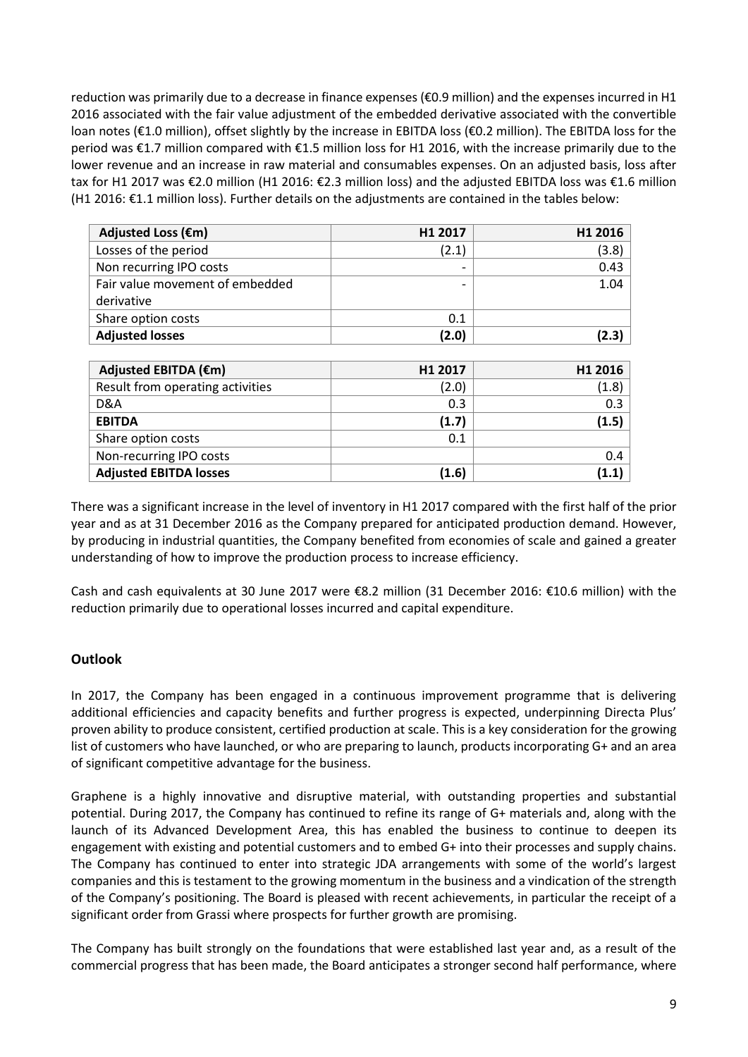reduction was primarily due to a decrease in finance expenses (€0.9 million) and the expenses incurred in H1 2016 associated with the fair value adjustment of the embedded derivative associated with the convertible loan notes (€1.0 million), offset slightly by the increase in EBITDA loss (€0.2 million). The EBITDA loss for the period was €1.7 million compared with €1.5 million loss for H1 2016, with the increase primarily due to the lower revenue and an increase in raw material and consumables expenses. On an adjusted basis, loss after tax for H1 2017 was €2.0 million (H1 2016: €2.3 million loss) and the adjusted EBITDA loss was €1.6 million (H1 2016: €1.1 million loss). Further details on the adjustments are contained in the tables below:

| Adjusted Loss (€m)              | H <sub>1</sub> 2017      | H1 2016 |
|---------------------------------|--------------------------|---------|
| Losses of the period            | (2.1)                    | (3.8)   |
| Non recurring IPO costs         | $\overline{\phantom{0}}$ | 0.43    |
| Fair value movement of embedded |                          | 1.04    |
| derivative                      |                          |         |
| Share option costs              | 0.1                      |         |
| <b>Adjusted losses</b>          | (2.0)                    | (2.3)   |
|                                 |                          |         |

| Adjusted EBITDA (€m)             | H <sub>1</sub> 2017 | H <sub>1</sub> 2016 |
|----------------------------------|---------------------|---------------------|
| Result from operating activities | (2.0)               | (1.8)               |
| D&A                              | 0.3                 | 0.3                 |
| <b>EBITDA</b>                    | (1.7)               | (1.5)               |
| Share option costs               | 0.1                 |                     |
| Non-recurring IPO costs          |                     | 0.4                 |
| <b>Adjusted EBITDA losses</b>    | (1.6)               | (1.1)               |

There was a significant increase in the level of inventory in H1 2017 compared with the first half of the prior year and as at 31 December 2016 as the Company prepared for anticipated production demand. However, by producing in industrial quantities, the Company benefited from economies of scale and gained a greater understanding of how to improve the production process to increase efficiency.

Cash and cash equivalents at 30 June 2017 were €8.2 million (31 December 2016: €10.6 million) with the reduction primarily due to operational losses incurred and capital expenditure.

# **Outlook**

In 2017, the Company has been engaged in a continuous improvement programme that is delivering additional efficiencies and capacity benefits and further progress is expected, underpinning Directa Plus' proven ability to produce consistent, certified production at scale. This is a key consideration for the growing list of customers who have launched, or who are preparing to launch, products incorporating G+ and an area of significant competitive advantage for the business.

Graphene is a highly innovative and disruptive material, with outstanding properties and substantial potential. During 2017, the Company has continued to refine its range of G+ materials and, along with the launch of its Advanced Development Area, this has enabled the business to continue to deepen its engagement with existing and potential customers and to embed G+ into their processes and supply chains. The Company has continued to enter into strategic JDA arrangements with some of the world's largest companies and this is testament to the growing momentum in the business and a vindication of the strength of the Company's positioning. The Board is pleased with recent achievements, in particular the receipt of a significant order from Grassi where prospects for further growth are promising.

The Company has built strongly on the foundations that were established last year and, as a result of the commercial progress that has been made, the Board anticipates a stronger second half performance, where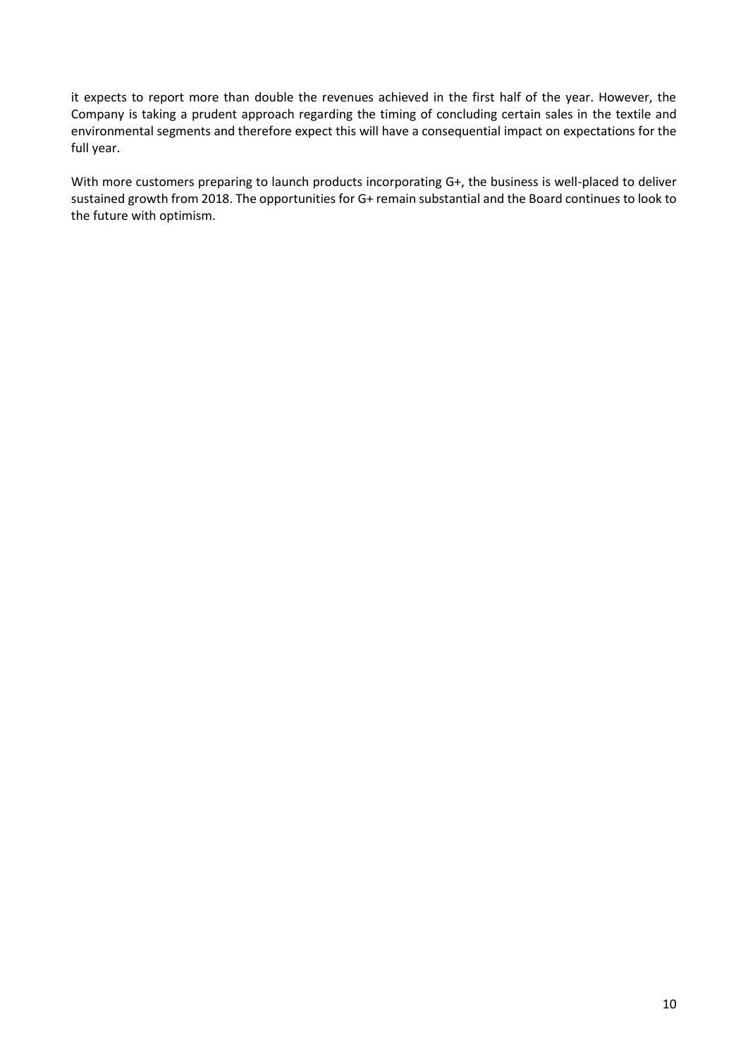it expects to report more than double the revenues achieved in the first half of the year. However, the Company is taking a prudent approach regarding the timing of concluding certain sales in the textile and environmental segments and therefore expect this will have a consequential impact on expectations for the full year.

With more customers preparing to launch products incorporating G+, the business is well-placed to deliver sustained growth from 2018. The opportunities for G+ remain substantial and the Board continues to look to the future with optimism.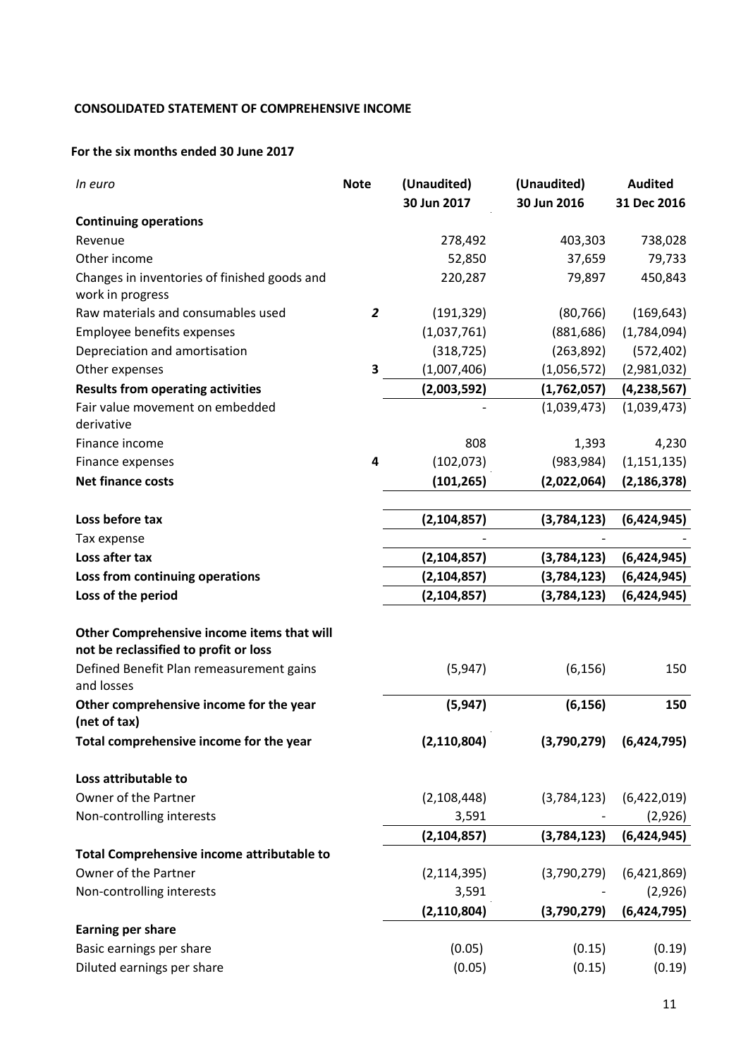# **CONSOLIDATED STATEMENT OF COMPREHENSIVE INCOME**

## **For the six months ended 30 June 2017**

| In euro                                                          | <b>Note</b>    | (Unaudited)   | (Unaudited) | <b>Audited</b> |
|------------------------------------------------------------------|----------------|---------------|-------------|----------------|
|                                                                  |                | 30 Jun 2017   | 30 Jun 2016 | 31 Dec 2016    |
| <b>Continuing operations</b>                                     |                |               |             |                |
| Revenue                                                          |                | 278,492       | 403,303     | 738,028        |
| Other income                                                     |                | 52,850        | 37,659      | 79,733         |
| Changes in inventories of finished goods and<br>work in progress |                | 220,287       | 79,897      | 450,843        |
| Raw materials and consumables used                               | $\overline{2}$ | (191, 329)    | (80, 766)   | (169, 643)     |
| Employee benefits expenses                                       |                | (1,037,761)   | (881, 686)  | (1,784,094)    |
| Depreciation and amortisation                                    |                | (318, 725)    | (263,892)   | (572, 402)     |
| Other expenses                                                   | 3              | (1,007,406)   | (1,056,572) | (2,981,032)    |
| <b>Results from operating activities</b>                         |                | (2,003,592)   | (1,762,057) | (4, 238, 567)  |
| Fair value movement on embedded                                  |                |               | (1,039,473) | (1,039,473)    |
| derivative                                                       |                |               |             |                |
| Finance income                                                   |                | 808           | 1,393       | 4,230          |
| Finance expenses                                                 | 4              | (102, 073)    | (983, 984)  | (1, 151, 135)  |
| <b>Net finance costs</b>                                         |                | (101, 265)    | (2,022,064) | (2, 186, 378)  |
|                                                                  |                |               |             |                |
| Loss before tax                                                  |                | (2, 104, 857) | (3,784,123) | (6,424,945)    |
| Tax expense                                                      |                |               |             |                |
| Loss after tax                                                   |                | (2, 104, 857) | (3,784,123) | (6,424,945)    |
| Loss from continuing operations                                  |                | (2, 104, 857) | (3,784,123) | (6,424,945)    |
| Loss of the period                                               |                | (2, 104, 857) | (3,784,123) | (6,424,945)    |
|                                                                  |                |               |             |                |
| Other Comprehensive income items that will                       |                |               |             |                |
| not be reclassified to profit or loss                            |                |               |             |                |
| Defined Benefit Plan remeasurement gains<br>and losses           |                | (5,947)       | (6, 156)    | 150            |
| Other comprehensive income for the year<br>(net of tax)          |                | (5, 947)      | (6, 156)    | 150            |
| Total comprehensive income for the year                          |                | (2, 110, 804) | (3,790,279) | (6,424,795)    |
| Loss attributable to                                             |                |               |             |                |
| Owner of the Partner                                             |                | (2, 108, 448) | (3,784,123) | (6,422,019)    |
| Non-controlling interests                                        |                | 3,591         |             | (2,926)        |
|                                                                  |                | (2, 104, 857) | (3,784,123) | (6,424,945)    |
| Total Comprehensive income attributable to                       |                |               |             |                |
| Owner of the Partner                                             |                | (2, 114, 395) | (3,790,279) | (6,421,869)    |
| Non-controlling interests                                        |                | 3,591         |             | (2,926)        |
|                                                                  |                | (2, 110, 804) | (3,790,279) | (6,424,795)    |
| <b>Earning per share</b>                                         |                |               |             |                |
| Basic earnings per share                                         |                | (0.05)        | (0.15)      | (0.19)         |
| Diluted earnings per share                                       |                | (0.05)        | (0.15)      | (0.19)         |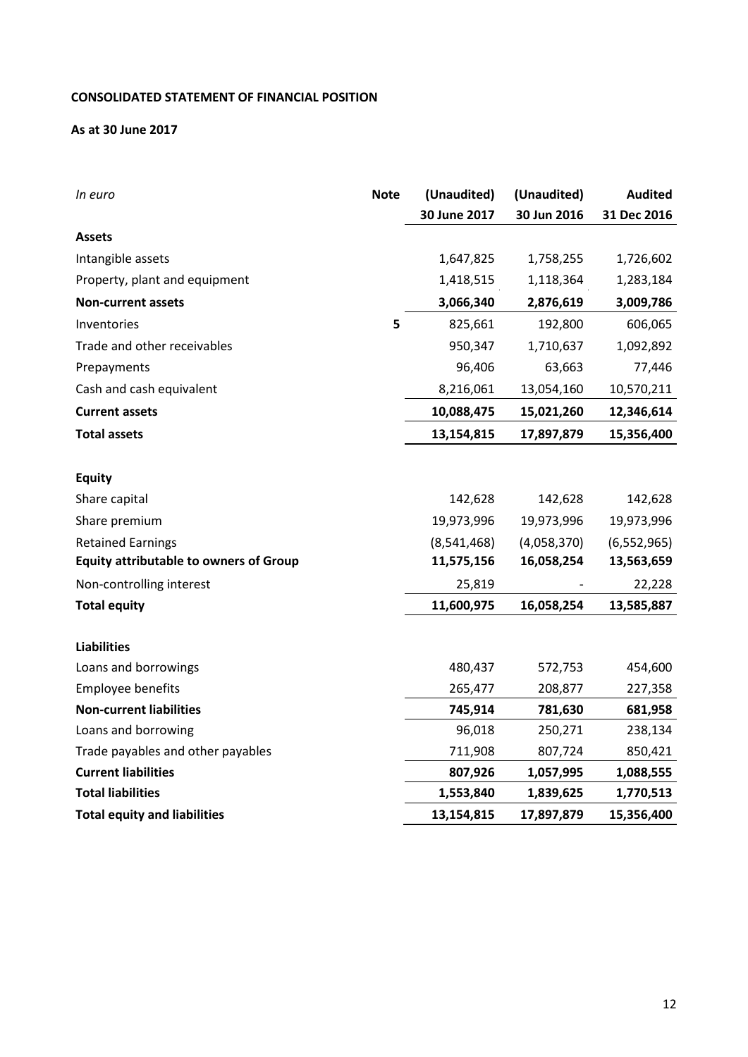# **CONSOLIDATED STATEMENT OF FINANCIAL POSITION**

## **As at 30 June 2017**

| In euro                                       | <b>Note</b> | (Unaudited)  | (Unaudited) | <b>Audited</b> |
|-----------------------------------------------|-------------|--------------|-------------|----------------|
|                                               |             | 30 June 2017 | 30 Jun 2016 | 31 Dec 2016    |
| <b>Assets</b>                                 |             |              |             |                |
| Intangible assets                             |             | 1,647,825    | 1,758,255   | 1,726,602      |
| Property, plant and equipment                 |             | 1,418,515    | 1,118,364   | 1,283,184      |
| <b>Non-current assets</b>                     |             | 3,066,340    | 2,876,619   | 3,009,786      |
| Inventories                                   | 5           | 825,661      | 192,800     | 606,065        |
| Trade and other receivables                   |             | 950,347      | 1,710,637   | 1,092,892      |
| Prepayments                                   |             | 96,406       | 63,663      | 77,446         |
| Cash and cash equivalent                      |             | 8,216,061    | 13,054,160  | 10,570,211     |
| <b>Current assets</b>                         |             | 10,088,475   | 15,021,260  | 12,346,614     |
| <b>Total assets</b>                           |             | 13,154,815   | 17,897,879  | 15,356,400     |
|                                               |             |              |             |                |
| <b>Equity</b>                                 |             |              |             |                |
| Share capital                                 |             | 142,628      | 142,628     | 142,628        |
| Share premium                                 |             | 19,973,996   | 19,973,996  | 19,973,996     |
| <b>Retained Earnings</b>                      |             | (8,541,468)  | (4,058,370) | (6, 552, 965)  |
| <b>Equity attributable to owners of Group</b> |             | 11,575,156   | 16,058,254  | 13,563,659     |
| Non-controlling interest                      |             | 25,819       |             | 22,228         |
| <b>Total equity</b>                           |             | 11,600,975   | 16,058,254  | 13,585,887     |
|                                               |             |              |             |                |
| <b>Liabilities</b>                            |             |              |             |                |
| Loans and borrowings                          |             | 480,437      | 572,753     | 454,600        |
| Employee benefits                             |             | 265,477      | 208,877     | 227,358        |
| <b>Non-current liabilities</b>                |             | 745,914      | 781,630     | 681,958        |
| Loans and borrowing                           |             | 96,018       | 250,271     | 238,134        |
| Trade payables and other payables             |             | 711,908      | 807,724     | 850,421        |
| <b>Current liabilities</b>                    |             | 807,926      | 1,057,995   | 1,088,555      |
| <b>Total liabilities</b>                      |             | 1,553,840    | 1,839,625   | 1,770,513      |
| <b>Total equity and liabilities</b>           |             | 13,154,815   | 17,897,879  | 15,356,400     |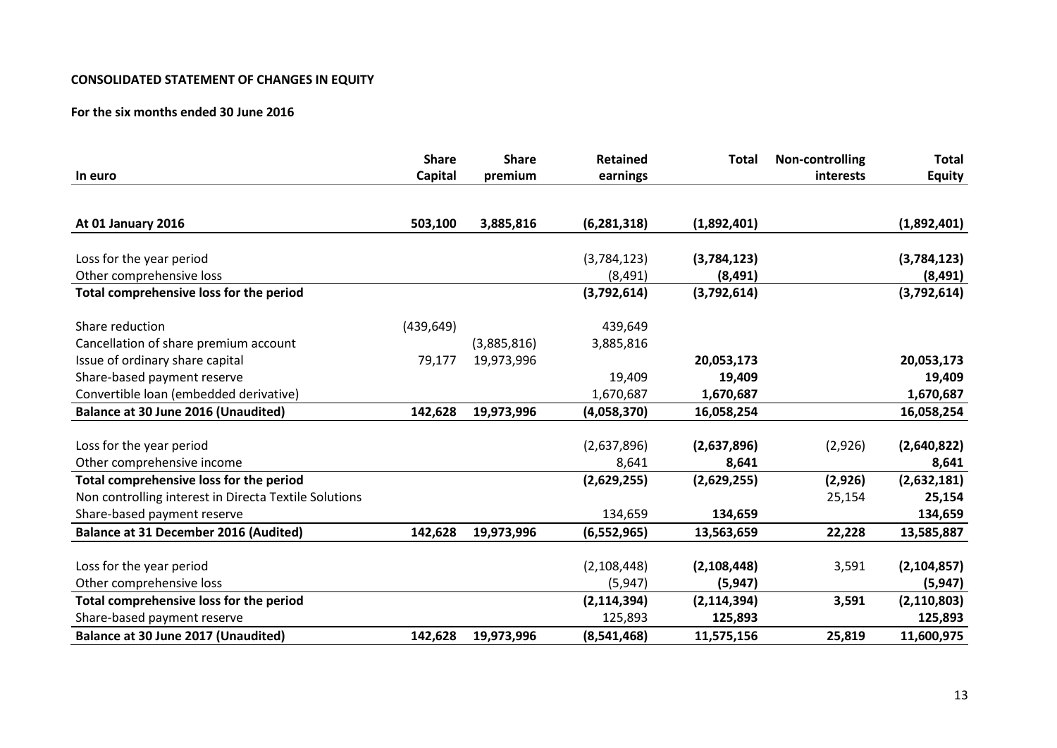## **CONSOLIDATED STATEMENT OF CHANGES IN EQUITY**

## **For the six months ended 30 June 2016**

|                                                       | <b>Share</b> | <b>Share</b> | <b>Retained</b> | <b>Total</b>  | Non-controlling | <b>Total</b>  |
|-------------------------------------------------------|--------------|--------------|-----------------|---------------|-----------------|---------------|
| In euro                                               | Capital      | premium      | earnings        |               | interests       | <b>Equity</b> |
| At 01 January 2016                                    | 503,100      | 3,885,816    | (6, 281, 318)   | (1,892,401)   |                 | (1,892,401)   |
| Loss for the year period                              |              |              | (3,784,123)     | (3,784,123)   |                 | (3,784,123)   |
| Other comprehensive loss                              |              |              | (8, 491)        | (8, 491)      |                 | (8, 491)      |
| Total comprehensive loss for the period               |              |              | (3,792,614)     | (3,792,614)   |                 | (3,792,614)   |
| Share reduction                                       | (439, 649)   |              | 439,649         |               |                 |               |
| Cancellation of share premium account                 |              | (3,885,816)  | 3,885,816       |               |                 |               |
| Issue of ordinary share capital                       | 79,177       | 19,973,996   |                 | 20,053,173    |                 | 20,053,173    |
| Share-based payment reserve                           |              |              | 19,409          | 19,409        |                 | 19,409        |
| Convertible loan (embedded derivative)                |              |              | 1,670,687       | 1,670,687     |                 | 1,670,687     |
| Balance at 30 June 2016 (Unaudited)                   | 142,628      | 19,973,996   | (4,058,370)     | 16,058,254    |                 | 16,058,254    |
| Loss for the year period                              |              |              | (2,637,896)     | (2,637,896)   | (2,926)         | (2,640,822)   |
| Other comprehensive income                            |              |              | 8,641           | 8,641         |                 | 8,641         |
| Total comprehensive loss for the period               |              |              | (2,629,255)     | (2,629,255)   | (2,926)         | (2,632,181)   |
| Non controlling interest in Directa Textile Solutions |              |              |                 |               | 25,154          | 25,154        |
| Share-based payment reserve                           |              |              | 134,659         | 134,659       |                 | 134,659       |
| <b>Balance at 31 December 2016 (Audited)</b>          | 142,628      | 19,973,996   | (6, 552, 965)   | 13,563,659    | 22,228          | 13,585,887    |
| Loss for the year period                              |              |              | (2, 108, 448)   | (2, 108, 448) | 3,591           | (2, 104, 857) |
| Other comprehensive loss                              |              |              | (5, 947)        | (5, 947)      |                 | (5, 947)      |
| Total comprehensive loss for the period               |              |              | (2, 114, 394)   | (2, 114, 394) | 3,591           | (2, 110, 803) |
| Share-based payment reserve                           |              |              | 125,893         | 125,893       |                 | 125,893       |
| Balance at 30 June 2017 (Unaudited)                   | 142,628      | 19,973,996   | (8,541,468)     | 11,575,156    | 25,819          | 11,600,975    |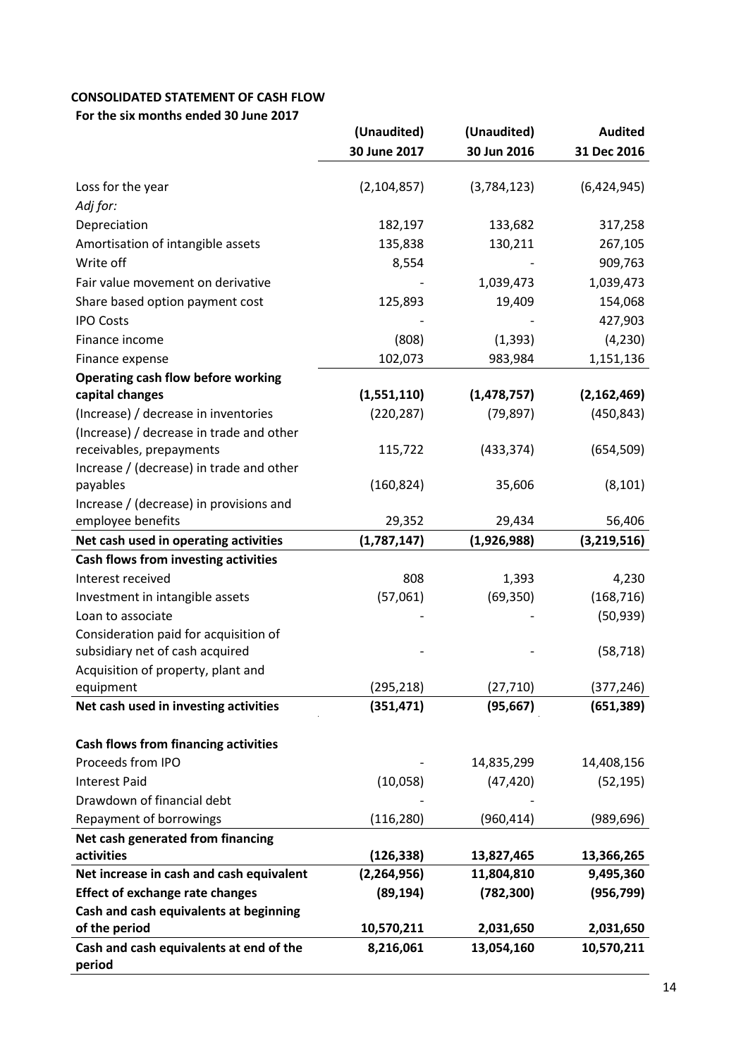# **CONSOLIDATED STATEMENT OF CASH FLOW**

**For the six months ended 30 June 2017** 

|                                                                       | (Unaudited)   | (Unaudited)   | <b>Audited</b> |
|-----------------------------------------------------------------------|---------------|---------------|----------------|
|                                                                       | 30 June 2017  | 30 Jun 2016   | 31 Dec 2016    |
| Loss for the year                                                     | (2, 104, 857) | (3,784,123)   | (6,424,945)    |
| Adj for:                                                              |               |               |                |
| Depreciation                                                          | 182,197       | 133,682       | 317,258        |
| Amortisation of intangible assets                                     | 135,838       | 130,211       | 267,105        |
| Write off                                                             | 8,554         |               | 909,763        |
| Fair value movement on derivative                                     |               | 1,039,473     | 1,039,473      |
| Share based option payment cost                                       | 125,893       | 19,409        | 154,068        |
| <b>IPO Costs</b>                                                      |               |               | 427,903        |
| Finance income                                                        | (808)         | (1, 393)      | (4, 230)       |
| Finance expense                                                       | 102,073       | 983,984       | 1,151,136      |
| <b>Operating cash flow before working</b>                             |               |               |                |
| capital changes                                                       | (1,551,110)   | (1, 478, 757) | (2, 162, 469)  |
| (Increase) / decrease in inventories                                  | (220, 287)    | (79, 897)     | (450, 843)     |
| (Increase) / decrease in trade and other                              |               |               |                |
| receivables, prepayments                                              | 115,722       | (433, 374)    | (654, 509)     |
| Increase / (decrease) in trade and other                              |               |               |                |
| payables                                                              | (160, 824)    | 35,606        | (8, 101)       |
| Increase / (decrease) in provisions and                               |               |               |                |
| employee benefits                                                     | 29,352        | 29,434        | 56,406         |
| Net cash used in operating activities                                 | (1,787,147)   | (1,926,988)   | (3, 219, 516)  |
| Cash flows from investing activities                                  |               |               |                |
| Interest received                                                     | 808           | 1,393         | 4,230          |
| Investment in intangible assets                                       | (57,061)      | (69, 350)     | (168, 716)     |
| Loan to associate                                                     |               |               | (50, 939)      |
| Consideration paid for acquisition of                                 |               |               |                |
| subsidiary net of cash acquired<br>Acquisition of property, plant and |               |               | (58, 718)      |
| equipment                                                             | (295, 218)    | (27, 710)     | (377, 246)     |
| Net cash used in investing activities                                 | (351, 471)    | (95, 667)     | (651, 389)     |
|                                                                       |               |               |                |
| <b>Cash flows from financing activities</b>                           |               |               |                |
| Proceeds from IPO                                                     |               | 14,835,299    | 14,408,156     |
| <b>Interest Paid</b>                                                  | (10,058)      | (47, 420)     | (52, 195)      |
| Drawdown of financial debt                                            |               |               |                |
| <b>Repayment of borrowings</b>                                        | (116, 280)    | (960, 414)    | (989, 696)     |
| Net cash generated from financing                                     |               |               |                |
| activities                                                            | (126, 338)    | 13,827,465    | 13,366,265     |
| Net increase in cash and cash equivalent                              | (2,264,956)   | 11,804,810    | 9,495,360      |
| <b>Effect of exchange rate changes</b>                                | (89, 194)     | (782, 300)    | (956, 799)     |
| Cash and cash equivalents at beginning                                |               |               |                |
| of the period                                                         | 10,570,211    | 2,031,650     | 2,031,650      |
| Cash and cash equivalents at end of the<br>period                     | 8,216,061     | 13,054,160    | 10,570,211     |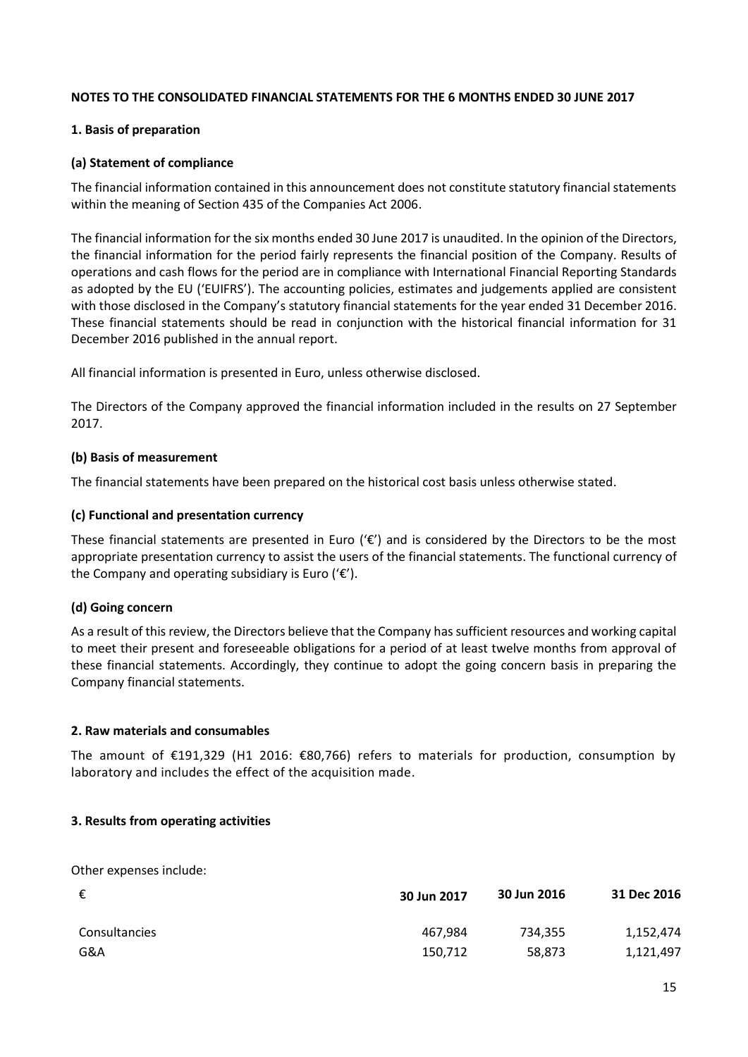## **NOTES TO THE CONSOLIDATED FINANCIAL STATEMENTS FOR THE 6 MONTHS ENDED 30 JUNE 2017**

## **1. Basis of preparation**

## **(a) Statement of compliance**

The financial information contained in this announcement does not constitute statutory financial statements within the meaning of Section 435 of the Companies Act 2006.

The financial information for the six months ended 30 June 2017 is unaudited. In the opinion of the Directors, the financial information for the period fairly represents the financial position of the Company. Results of operations and cash flows for the period are in compliance with International Financial Reporting Standards as adopted by the EU ('EUIFRS'). The accounting policies, estimates and judgements applied are consistent with those disclosed in the Company's statutory financial statements for the year ended 31 December 2016. These financial statements should be read in conjunction with the historical financial information for 31 December 2016 published in the annual report.

All financial information is presented in Euro, unless otherwise disclosed.

The Directors of the Company approved the financial information included in the results on 27 September 2017.

## **(b) Basis of measurement**

The financial statements have been prepared on the historical cost basis unless otherwise stated.

## **(c) Functional and presentation currency**

These financial statements are presented in Euro ( $\epsilon$ ) and is considered by the Directors to be the most appropriate presentation currency to assist the users of the financial statements. The functional currency of the Company and operating subsidiary is Euro (' $\varepsilon$ ').

# **(d) Going concern**

As a result of this review, the Directors believe that the Company has sufficient resources and working capital to meet their present and foreseeable obligations for a period of at least twelve months from approval of these financial statements. Accordingly, they continue to adopt the going concern basis in preparing the Company financial statements.

## **2. Raw materials and consumables**

The amount of €191,329 (H1 2016: €80,766) refers to materials for production, consumption by laboratory and includes the effect of the acquisition made.

## **3. Results from operating activities**

Other expenses include:

| €             | 30 Jun 2017 | 30 Jun 2016 | 31 Dec 2016 |
|---------------|-------------|-------------|-------------|
| Consultancies | 467,984     | 734,355     | 1,152,474   |
| G&A           | 150,712     | 58,873      | 1,121,497   |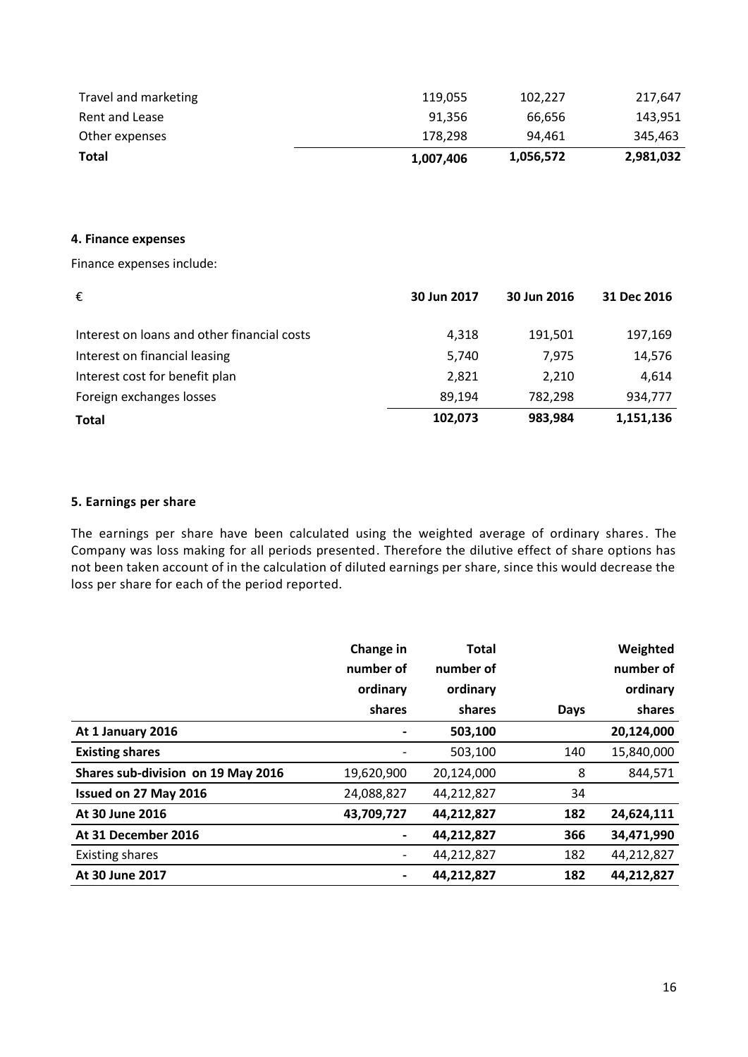| 1,007,406 | 1,056,572 | 2,981,032 |
|-----------|-----------|-----------|
| 178.298   | 94.461    | 345.463   |
| 91.356    | 66.656    | 143,951   |
| 119,055   | 102.227   | 217,647   |
|           |           |           |

#### **4. Finance expenses**

Finance expenses include:

| €                                           | 30 Jun 2017 | 30 Jun 2016 | 31 Dec 2016 |
|---------------------------------------------|-------------|-------------|-------------|
| Interest on loans and other financial costs | 4,318       | 191,501     | 197,169     |
| Interest on financial leasing               | 5,740       | 7,975       | 14,576      |
| Interest cost for benefit plan              | 2,821       | 2,210       | 4,614       |
| Foreign exchanges losses                    | 89,194      | 782,298     | 934,777     |
| <b>Total</b>                                | 102,073     | 983,984     | 1,151,136   |

# **5. Earnings per share**

The earnings per share have been calculated using the weighted average of ordinary shares. The Company was loss making for all periods presented. Therefore the dilutive effect of share options has not been taken account of in the calculation of diluted earnings per share, since this would decrease the loss per share for each of the period reported.

|                                    | Change in  | <b>Total</b> |             | Weighted   |
|------------------------------------|------------|--------------|-------------|------------|
|                                    | number of  | number of    |             | number of  |
|                                    | ordinary   | ordinary     |             | ordinary   |
|                                    | shares     | shares       | <b>Days</b> | shares     |
| At 1 January 2016                  |            | 503,100      |             | 20,124,000 |
| <b>Existing shares</b>             |            | 503,100      | 140         | 15,840,000 |
| Shares sub-division on 19 May 2016 | 19,620,900 | 20,124,000   | 8           | 844,571    |
| Issued on 27 May 2016              | 24,088,827 | 44,212,827   | 34          |            |
| At 30 June 2016                    | 43,709,727 | 44,212,827   | 182         | 24,624,111 |
| At 31 December 2016                |            | 44,212,827   | 366         | 34,471,990 |
| <b>Existing shares</b>             |            | 44,212,827   | 182         | 44,212,827 |
| At 30 June 2017                    |            | 44,212,827   | 182         | 44,212,827 |